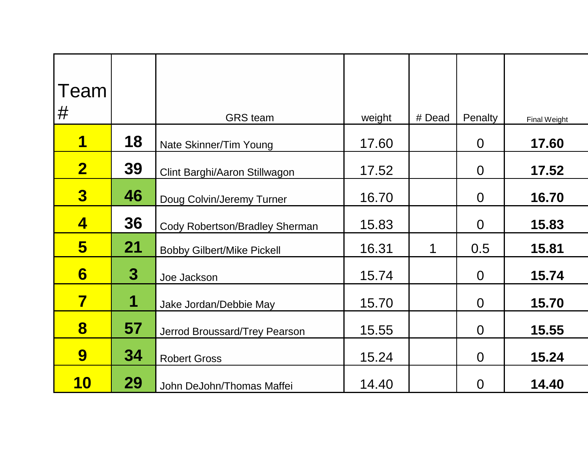| Team                    |                |                                       |        |        |                |              |
|-------------------------|----------------|---------------------------------------|--------|--------|----------------|--------------|
|                         |                |                                       |        |        |                |              |
| #                       |                | <b>GRS</b> team                       | weight | # Dead | Penalty        | Final Weight |
| 1                       | 18             | Nate Skinner/Tim Young                | 17.60  |        | $\overline{0}$ | 17.60        |
| $\overline{\mathbf{2}}$ | 39             | Clint Barghi/Aaron Stillwagon         | 17.52  |        | $\overline{0}$ | 17.52        |
| $\bf{3}$                | 46             | Doug Colvin/Jeremy Turner             | 16.70  |        | $\Omega$       | 16.70        |
| 4                       | 36             | <b>Cody Robertson/Bradley Sherman</b> | 15.83  |        | $\Omega$       | 15.83        |
| 5                       | 21             | <b>Bobby Gilbert/Mike Pickell</b>     | 16.31  | 1      | 0.5            | 15.81        |
| 6                       | $\overline{3}$ | Joe Jackson                           | 15.74  |        | $\overline{0}$ | 15.74        |
| 7                       | 1              | Jake Jordan/Debbie May                | 15.70  |        | $\overline{0}$ | 15.70        |
| 8                       | 57             | Jerrod Broussard/Trey Pearson         | 15.55  |        | $\Omega$       | 15.55        |
| 9                       | 34             | <b>Robert Gross</b>                   | 15.24  |        | $\Omega$       | 15.24        |
| 10                      | 29             | John DeJohn/Thomas Maffei             | 14.40  |        | $\Omega$       | 14.40        |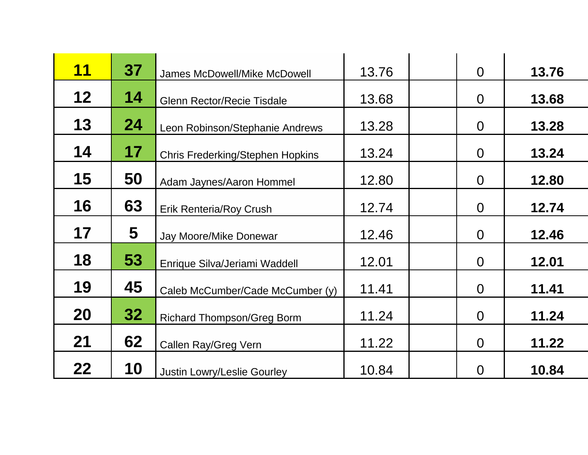| <u> 11</u> | 37 | <b>James McDowell/Mike McDowell</b>     | 13.76 | $\Omega$       | 13.76 |
|------------|----|-----------------------------------------|-------|----------------|-------|
| $12 \,$    | 14 | <b>Glenn Rector/Recie Tisdale</b>       | 13.68 | $\Omega$       | 13.68 |
| 13         | 24 | Leon Robinson/Stephanie Andrews         | 13.28 | $\Omega$       | 13.28 |
| 14         | 17 | <b>Chris Frederking/Stephen Hopkins</b> | 13.24 | $\Omega$       | 13.24 |
| 15         | 50 | Adam Jaynes/Aaron Hommel                | 12.80 | $\overline{0}$ | 12.80 |
| 16         | 63 | <b>Erik Renteria/Roy Crush</b>          | 12.74 | $\overline{0}$ | 12.74 |
| 17         | 5  | Jay Moore/Mike Donewar                  | 12.46 | $\Omega$       | 12.46 |
| 18         | 53 | Enrique Silva/Jeriami Waddell           | 12.01 | $\Omega$       | 12.01 |
| 19         | 45 | Caleb McCumber/Cade McCumber (y)        | 11.41 | $\Omega$       | 11.41 |
| <b>20</b>  | 32 | <b>Richard Thompson/Greg Borm</b>       | 11.24 | $\Omega$       | 11.24 |
| 21         | 62 | Callen Ray/Greg Vern                    | 11.22 | $\overline{0}$ | 11.22 |
| 22         | 10 | <b>Justin Lowry/Leslie Gourley</b>      | 10.84 | $\Omega$       | 10.84 |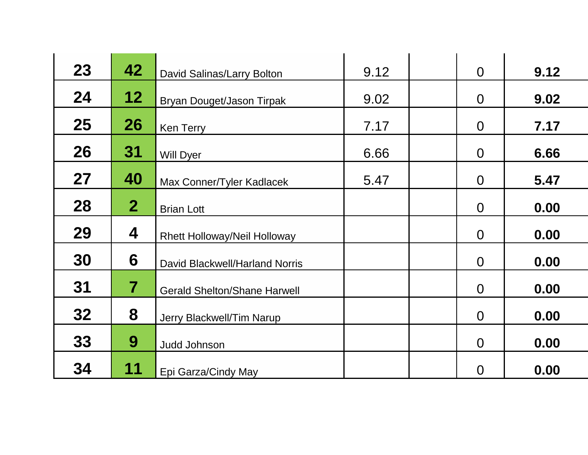| 23 | 42           | David Salinas/Larry Bolton          | 9.12 | $\overline{0}$ | 9.12 |
|----|--------------|-------------------------------------|------|----------------|------|
|    |              |                                     |      |                |      |
| 24 | 12           | Bryan Douget/Jason Tirpak           | 9.02 | $\overline{0}$ | 9.02 |
| 25 | 26           | <b>Ken Terry</b>                    | 7.17 | $\overline{0}$ | 7.17 |
| 26 | 31           | <b>Will Dyer</b>                    | 6.66 | $\overline{0}$ | 6.66 |
| 27 | 40           | Max Conner/Tyler Kadlacek           | 5.47 | $\overline{0}$ | 5.47 |
| 28 | $\mathbf{2}$ | <b>Brian Lott</b>                   |      | $\overline{0}$ | 0.00 |
| 29 | 4            | <b>Rhett Holloway/Neil Holloway</b> |      | $\overline{0}$ | 0.00 |
| 30 | 6            | David Blackwell/Harland Norris      |      | $\overline{0}$ | 0.00 |
| 31 | 7            | <b>Gerald Shelton/Shane Harwell</b> |      | $\Omega$       | 0.00 |
| 32 | 8            | Jerry Blackwell/Tim Narup           |      | $\overline{0}$ | 0.00 |
| 33 | 9            | Judd Johnson                        |      | $\overline{0}$ | 0.00 |
| 34 | 11           | Epi Garza/Cindy May                 |      | $\overline{0}$ | 0.00 |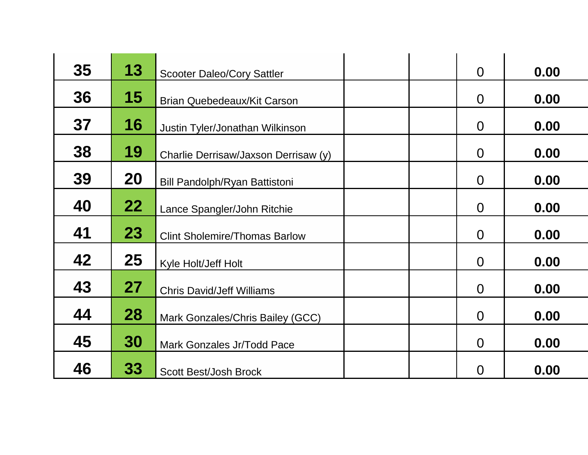| 35 | 13 | <b>Scooter Daleo/Cory Sattler</b>    | $\overline{0}$ | 0.00 |
|----|----|--------------------------------------|----------------|------|
| 36 | 15 | <b>Brian Quebedeaux/Kit Carson</b>   | $\Omega$       | 0.00 |
| 37 | 16 | Justin Tyler/Jonathan Wilkinson      | $\overline{0}$ | 0.00 |
| 38 | 19 | Charlie Derrisaw/Jaxson Derrisaw (y) | $\overline{0}$ | 0.00 |
| 39 | 20 | Bill Pandolph/Ryan Battistoni        | $\overline{0}$ | 0.00 |
| 40 | 22 | Lance Spangler/John Ritchie          | $\overline{0}$ | 0.00 |
| 41 | 23 | <b>Clint Sholemire/Thomas Barlow</b> | $\overline{0}$ | 0.00 |
| 42 | 25 | Kyle Holt/Jeff Holt                  | $\overline{0}$ | 0.00 |
| 43 | 27 | <b>Chris David/Jeff Williams</b>     | $\Omega$       | 0.00 |
| 44 | 28 | Mark Gonzales/Chris Bailey (GCC)     | $\overline{0}$ | 0.00 |
| 45 | 30 | <b>Mark Gonzales Jr/Todd Pace</b>    | $\overline{0}$ | 0.00 |
| 46 | 33 | <b>Scott Best/Josh Brock</b>         | $\overline{0}$ | 0.00 |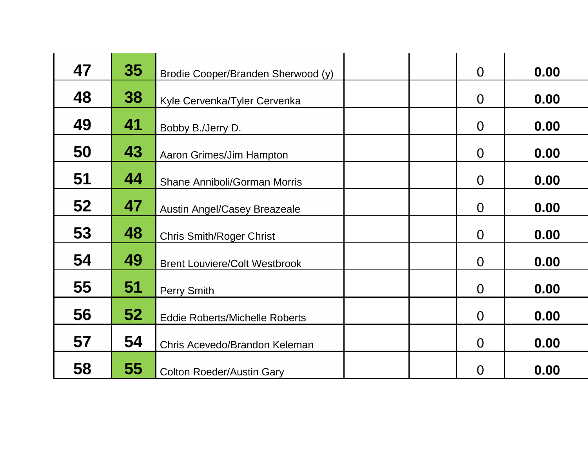| 47 | 35 | Brodie Cooper/Branden Sherwood (y)    | $\overline{0}$ | 0.00 |
|----|----|---------------------------------------|----------------|------|
| 48 | 38 | Kyle Cervenka/Tyler Cervenka          | $\Omega$       | 0.00 |
| 49 | 41 | Bobby B./Jerry D.                     | $\overline{0}$ | 0.00 |
| 50 | 43 | Aaron Grimes/Jim Hampton              | $\overline{0}$ | 0.00 |
| 51 | 44 | <b>Shane Anniboli/Gorman Morris</b>   | $\overline{0}$ | 0.00 |
| 52 | 47 | <b>Austin Angel/Casey Breazeale</b>   | $\overline{0}$ | 0.00 |
| 53 | 48 | <b>Chris Smith/Roger Christ</b>       | $\overline{0}$ | 0.00 |
| 54 | 49 | <b>Brent Louviere/Colt Westbrook</b>  | $\overline{0}$ | 0.00 |
| 55 | 51 | Perry Smith                           | $\Omega$       | 0.00 |
| 56 | 52 | <b>Eddie Roberts/Michelle Roberts</b> | $\Omega$       | 0.00 |
| 57 | 54 | Chris Acevedo/Brandon Keleman         | $\overline{0}$ | 0.00 |
| 58 | 55 | <b>Colton Roeder/Austin Gary</b>      | $\overline{0}$ | 0.00 |